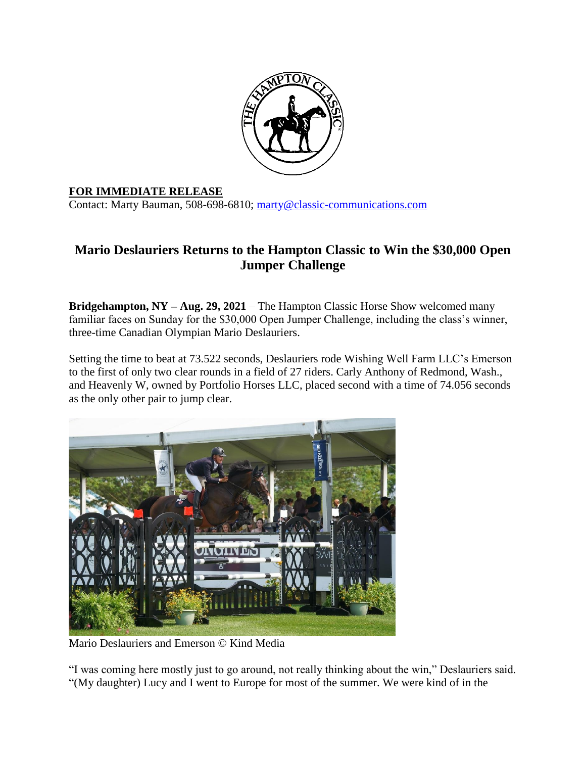

## **FOR IMMEDIATE RELEASE**

Contact: Marty Bauman, 508-698-6810; [marty@classic-communications.com](about:blank)

## **Mario Deslauriers Returns to the Hampton Classic to Win the \$30,000 Open Jumper Challenge**

**Bridgehampton, NY – Aug. 29, 2021** – The Hampton Classic Horse Show welcomed many familiar faces on Sunday for the \$30,000 Open Jumper Challenge, including the class's winner, three-time Canadian Olympian Mario Deslauriers.

Setting the time to beat at 73.522 seconds, Deslauriers rode Wishing Well Farm LLC's Emerson to the first of only two clear rounds in a field of 27 riders. Carly Anthony of Redmond, Wash., and Heavenly W, owned by Portfolio Horses LLC, placed second with a time of 74.056 seconds as the only other pair to jump clear.



Mario Deslauriers and Emerson © Kind Media

"I was coming here mostly just to go around, not really thinking about the win," Deslauriers said. "(My daughter) Lucy and I went to Europe for most of the summer. We were kind of in the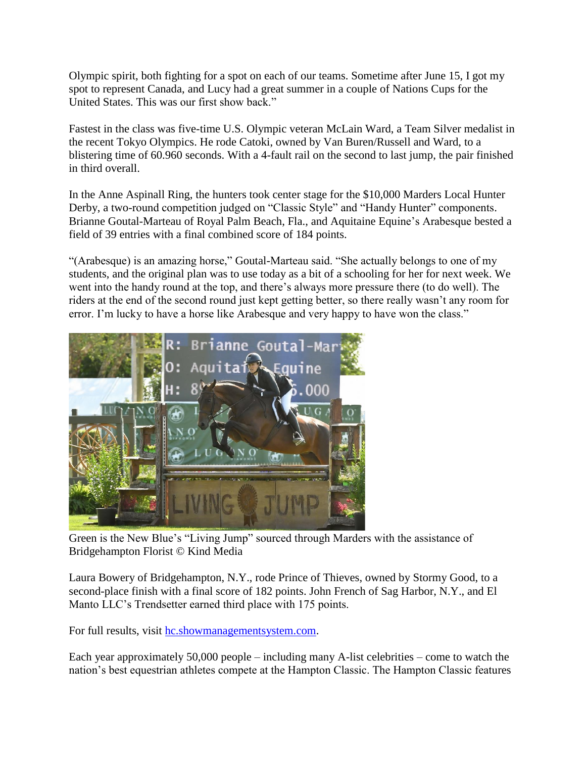Olympic spirit, both fighting for a spot on each of our teams. Sometime after June 15, I got my spot to represent Canada, and Lucy had a great summer in a couple of Nations Cups for the United States. This was our first show back."

Fastest in the class was five-time U.S. Olympic veteran McLain Ward, a Team Silver medalist in the recent Tokyo Olympics. He rode Catoki, owned by Van Buren/Russell and Ward, to a blistering time of 60.960 seconds. With a 4-fault rail on the second to last jump, the pair finished in third overall.

In the Anne Aspinall Ring, the hunters took center stage for the \$10,000 Marders Local Hunter Derby, a two-round competition judged on "Classic Style" and "Handy Hunter" components. Brianne Goutal-Marteau of Royal Palm Beach, Fla., and Aquitaine Equine's Arabesque bested a field of 39 entries with a final combined score of 184 points.

"(Arabesque) is an amazing horse," Goutal-Marteau said. "She actually belongs to one of my students, and the original plan was to use today as a bit of a schooling for her for next week. We went into the handy round at the top, and there's always more pressure there (to do well). The riders at the end of the second round just kept getting better, so there really wasn't any room for error. I'm lucky to have a horse like Arabesque and very happy to have won the class."



Green is the New Blue's "Living Jump" sourced through Marders with the assistance of Bridgehampton Florist © Kind Media

Laura Bowery of Bridgehampton, N.Y., rode Prince of Thieves, owned by Stormy Good, to a second-place finish with a final score of 182 points. John French of Sag Harbor, N.Y., and El Manto LLC's Trendsetter earned third place with 175 points.

For full results, visit [hc.showmanagementsystem.com.](about:blank)

Each year approximately 50,000 people – including many A-list celebrities – come to watch the nation's best equestrian athletes compete at the Hampton Classic. The Hampton Classic features